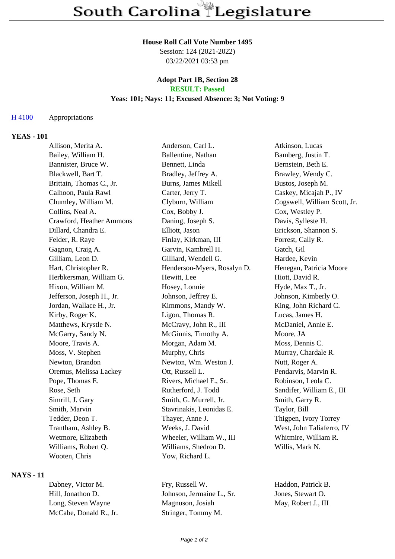## **House Roll Call Vote Number 1495**

Session: 124 (2021-2022) 03/22/2021 03:53 pm

# **Adopt Part 1B, Section 28**

# **RESULT: Passed**

## **Yeas: 101; Nays: 11; Excused Absence: 3; Not Voting: 9**

#### H 4100 Appropriations

#### **YEAS - 101**

| Allison, Merita A.        | Anderson, Carl L.           | Atkinson, Lucas              |
|---------------------------|-----------------------------|------------------------------|
| Bailey, William H.        | Ballentine, Nathan          | Bamberg, Justin T.           |
| Bannister, Bruce W.       | Bennett, Linda              | Bernstein, Beth E.           |
| Blackwell, Bart T.        | Bradley, Jeffrey A.         | Brawley, Wendy C.            |
| Brittain, Thomas C., Jr.  | Burns, James Mikell         | Bustos, Joseph M.            |
| Calhoon, Paula Rawl       | Carter, Jerry T.            | Caskey, Micajah P., IV       |
| Chumley, William M.       | Clyburn, William            | Cogswell, William Scott, Jr. |
| Collins, Neal A.          | Cox, Bobby J.               | Cox, Westley P.              |
| Crawford, Heather Ammons  | Daning, Joseph S.           | Davis, Sylleste H.           |
| Dillard, Chandra E.       | Elliott, Jason              | Erickson, Shannon S.         |
| Felder, R. Raye           | Finlay, Kirkman, III        | Forrest, Cally R.            |
| Gagnon, Craig A.          | Garvin, Kambrell H.         | Gatch, Gil                   |
| Gilliam, Leon D.          | Gilliard, Wendell G.        | Hardee, Kevin                |
| Hart, Christopher R.      | Henderson-Myers, Rosalyn D. | Henegan, Patricia Moore      |
| Herbkersman, William G.   | Hewitt, Lee                 | Hiott, David R.              |
| Hixon, William M.         | Hosey, Lonnie               | Hyde, Max T., Jr.            |
| Jefferson, Joseph H., Jr. | Johnson, Jeffrey E.         | Johnson, Kimberly O.         |
| Jordan, Wallace H., Jr.   | Kimmons, Mandy W.           | King, John Richard C.        |
| Kirby, Roger K.           | Ligon, Thomas R.            | Lucas, James H.              |
| Matthews, Krystle N.      | McCravy, John R., III       | McDaniel, Annie E.           |
| McGarry, Sandy N.         | McGinnis, Timothy A.        | Moore, JA                    |
| Moore, Travis A.          | Morgan, Adam M.             | Moss, Dennis C.              |
| Moss, V. Stephen          | Murphy, Chris               | Murray, Chardale R.          |
| Newton, Brandon           | Newton, Wm. Weston J.       | Nutt, Roger A.               |
| Oremus, Melissa Lackey    | Ott, Russell L.             | Pendarvis, Marvin R.         |
| Pope, Thomas E.           | Rivers, Michael F., Sr.     | Robinson, Leola C.           |
| Rose, Seth                | Rutherford, J. Todd         | Sandifer, William E., III    |
| Simrill, J. Gary          | Smith, G. Murrell, Jr.      | Smith, Garry R.              |
| Smith, Marvin             | Stavrinakis, Leonidas E.    | Taylor, Bill                 |
| Tedder, Deon T.           | Thayer, Anne J.             | Thigpen, Ivory Torrey        |
| Trantham, Ashley B.       | Weeks, J. David             | West, John Taliaferro, IV    |
| Wetmore, Elizabeth        | Wheeler, William W., III    | Whitmire, William R.         |
| Williams, Robert Q.       | Williams, Shedron D.        | Willis, Mark N.              |
| Wooten, Chris             | Yow, Richard L.             |                              |

#### **NAYS - 11**

| Dabney, Victor M.      | Fry, Russell W.     |
|------------------------|---------------------|
| Hill, Jonathon D.      | Johnson, Jermaine L |
| Long, Steven Wayne     | Magnuson, Josiah    |
| McCabe, Donald R., Jr. | Stringer, Tommy M.  |

Haddon, Patrick B. hell, Sr. Jones, Stewart O. h May, Robert J., III